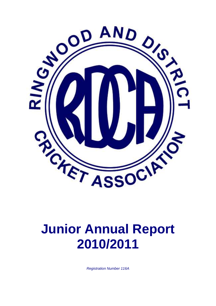

# **Junior Annual Report 2010/2011**

*Registration Number 116A*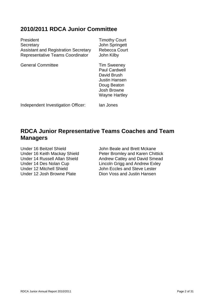## **2010/2011 RDCA Junior Committee**

| President                                   | <b>Timothy Court</b>                                                              |
|---------------------------------------------|-----------------------------------------------------------------------------------|
| Secretary                                   | <b>John Springett</b>                                                             |
| <b>Assistant and Registration Secretary</b> | Rebecca Court                                                                     |
| <b>Representative Teams Coordinator</b>     | John Kilby                                                                        |
| <b>General Committee</b>                    | <b>Tim Sweeney</b><br><b>Paul Cardwell</b><br>David Brush<br><b>Justin Hansen</b> |

Independent Investigation Officer: Ian Jones

# **RDCA Junior Representative Teams Coaches and Team Managers**

Doug Beaton Josh Browne Wayne Hartley

Under 16 Beitzel Shield John Beale and Brett Mckane Under 12 Mitchell Shield John Eccles and Steve Lester Under 12 Josh Browne Plate Dion Voss and Justin Hansen

Under 16 Keith Mackay Shield<br>
Under 14 Russell Allan Shield<br>
Andrew Catley and David Smead Andrew Catley and David Smead Under 14 Des Nolan Cup Lincoln Grigg and Andrew Exley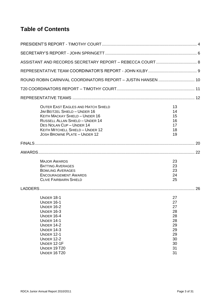# **Table of Contents**

| ROUND ROBIN CARNIVAL COORDINATORS REPORT - JUSTIN HANSEN  10                                                                                                                                                                                                                |                                                                            |  |
|-----------------------------------------------------------------------------------------------------------------------------------------------------------------------------------------------------------------------------------------------------------------------------|----------------------------------------------------------------------------|--|
|                                                                                                                                                                                                                                                                             |                                                                            |  |
|                                                                                                                                                                                                                                                                             |                                                                            |  |
| <b>OUTER EAST EAGLES AND HATCH SHIELD</b><br>JIM BEITZEL SHIELD - UNDER 16<br>KEITH MACKAY SHIELD - UNDER 16<br><b>RUSSELL ALLAN SHIELD - UNDER 14</b><br>DES NOLAN CUP - UNDER 14<br>KEITH MITCHELL SHIELD - UNDER 12<br><b>JOSH BROWNE PLATE - UNDER 12</b>               | 13<br>14<br>15<br>16<br>17<br>18<br>19                                     |  |
|                                                                                                                                                                                                                                                                             |                                                                            |  |
|                                                                                                                                                                                                                                                                             |                                                                            |  |
| <b>MAJOR AWARDS</b><br><b>BATTING AVERAGES</b><br><b>BOWLING AVERAGES</b><br><b>ENCOURAGEMENT AWARDS</b><br><b>CLIVE FAIRBAIRN SHIELD</b>                                                                                                                                   | 23<br>23<br>23<br>24<br>25                                                 |  |
|                                                                                                                                                                                                                                                                             |                                                                            |  |
| <b>UNDER 18-1</b><br><b>UNDER 16-1</b><br><b>UNDER 16-2</b><br><b>UNDER 16-3</b><br><b>UNDER 16-4</b><br><b>UNDER 14-1</b><br><b>UNDER 14-2</b><br><b>UNDER 14-3</b><br><b>UNDER 12-1</b><br><b>UNDER 12-2</b><br>UNDER 12-1F<br><b>UNDER 19 T20</b><br><b>UNDER 16 T20</b> | 27<br>27<br>27<br>28<br>28<br>28<br>29<br>29<br>29<br>30<br>30<br>31<br>31 |  |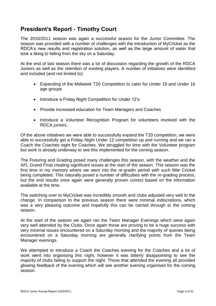# <span id="page-3-0"></span>**President's Report - Timothy Court**

The 2010/2011 season was again a successful season for the Junior Committee. The season was provided with a number of challenges with the introduction of MyCricket as the RDCA's new results and registration solution, as well as the large amount of water that took a liking to falling from the sky on a Saturday.

At the end of last season there was a lot of discussion regarding the growth of the RDCA Juniors as well as the retention of existing players. A number of initiatives were identified and included (and not limited to):

- Expanding of the Midweek T20 Competition to cater for Under 19 and Under 16 age groups
- Introduce a Friday Night Competition for Under 12's
- Provide increased education for Team Managers and Coaches
- Introduce a Volunteer Recognition Program for volunteers involved with the RDCA juniors.

Of the above initiatives we were able to successfully expand the T20 competition, we were able to successfully get a Friday Night Under 12 competition up and running and we ran a Coach the Coaches night for Coaches. We struggled for time with the Volunteer program but work is already underway to see this implemented for the coming season.

The Fixturing and Grading posed many challenges this season, with the weather and the AFL Grand Final creating significant issues at the start of the season. This season was the first time in my memory where we went into the re-gradin period with such little Cricket being completed. This naturally posed a number of difficulties with the re-grading process, but the end results once again were generally proven correct based on the information available at the time.

The switching over to MyCricket was incredibly smooth and clubs adjusted very well to the change. In comparison to the previous season there were minimal indiscretions, which was a very pleasing outcome and hopefully this can be carried through to the coming season.

At the start of the season we again ran the Team Manager Evenings which were again very well attended by the Clubs. Once again these are proving to be a huge success with very minimal issues encountered on a Saturday morning and the majority of queries being encountered on a Saturday morning are generally clarifying points from the Team Manager evenings.

We attempted to introduce a Coach the Coaches evening for the Coaches and a lot of work went into organising this night, however it was bitterly disappointing to see the majority of clubs failing to support the night. Those that attended the evening all provided glowing feedback of the evening which will see another evening organised for the coming season.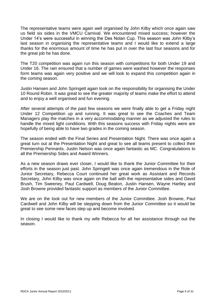The representative teams were again well organised by John Kilby which once again saw us field six sides in the VMCU Carnival. We encountered mixed success; however the Under 14's were successful in winning the Des Nolan Cup. This season was John Kilby's last season in organising the representative teams and I would like to extend a large thanks for the enormous amount of time he has put in over the last four seasons and for the great job he has done.

The T20 competition was again run this season with competitions for both Under 19 and Under 16. The rain ensured that a number of games were washed however the responses form teams was again very positive and we will look to expand this competition again in the coming season.

Justin Hansen and John Springett again took on the responsibility for organising the Under 10 Round Robin. It was great to see the greater majority of teams make the effort to attend and to enjoy a well organised and fun evening.

After several attempts of the past few seasons we were finally able to get a Friday night Under 12 Competition up and running. It was great to see the Coaches and Team Managers play the matches in a very accommodating manner as we adjusted the rules to handle the mixed light conditions. With this seasons success with Friday nights were are hopefully of being able to have two grades in the coming season.

The season ended with the Final Series and Presentation Night. There was once again a great turn out at the Presentation Night and great to see all teams present to collect their Premiership Pennants. Justin Nelson was once again fantastic as MC. Congratulations to all the Premiership Sides and Award Winners.

As a new season draws ever closer, I would like to thank the Junior Committee for their efforts in the season just past. John Springett was once again tremendous in the Role of Junior Secretary, Rebecca Court continued her great work as Assistant and Records Secretary, John Kilby was once again on the ball with the representative sides and David Brush, Tim Sweeney, Paul Cardwell, Doug Beaton, Justin Hansen, Wayne Hartley and Josh Browne provided fantastic support as members of the Junior Committee.

We are on the look out for new members of the Junior Committee. Josh Browne, Paul Cardwell and John Kilby will be stepping down from the Junior Committee so it would be great to see some new faces step up and become involved.

In closing I would like to thank my wife Rebecca for all her assistance through out the season.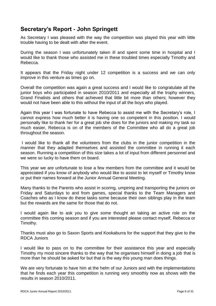# <span id="page-5-0"></span>**Secretary's Report - John Springett**

As Secretary I was pleased with the way the competition was played this year with little trouble having to be dealt with after the event.

During the season I was unfortunately taken ill and spent some time in hospital and I would like to thank those who assisted me in these troubled times especially Timothy and Rebecca.

It appears that the Friday night under 12 competition is a success and we can only improve in this venture as times go on.

Overall the competition was again a great success and I would like to congratulate all the junior boys who participated in season 2010/2011 and especially all the trophy winners, Grand Finalists and others that achieved that little bit more than others; however they would not have been able to this without the input of all the boys who played.

Again this year I was fortunate to have Rebecca to assist me with the Secretary's role, I cannot express how much better it is having one so competent in this position. I would personally like to thank her for a great job she does for the juniors and making my task so much easier, Rebecca is on of the members of the Committee who all do a great job throughout the season.

I would like to thank all the volunteers from the clubs in the junior competition in the manner that they adapted themselves and assisted the committee in running it each season. Running a competition of this size takes a lot of input from different personnel and we were so lucky to have them on board.

This year we are unfortunate to lose a few members from the committee and it would be appreciated if you know of anybody who would like to assist to let myself or Timothy know or put their names forward at the Junior Annual General Meeting.

Many thanks to the Parents who assist in scoring, umpiring and transporting the juniors on Friday and Saturdays to and from games, special thanks to the Team Managers and Coaches who as I know do these tasks some because their own siblings play in the team but the rewards are the same for those that do not.

I would again like to ask you to give some thought an taking an active role on the committee this coming season and if you are interested please contact myself, Rebecca or Timothy.

Thanks must also go to Saxon Sports and Kookaburra for the support that they give to the RDCA Juniors

I would like to pass on to the committee for their assistance this year and especially Timothy my most sincere thanks to the way that he organises himself in doing a job that is more than he should be asked for but that is the way this young man does things.

We are very fortunate to have him at the helm of our Juniors and with the implementations that he finds each year this competition is running very smoothly now as shows with the results in season 2010/2011.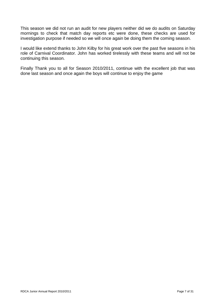This season we did not run an audit for new players neither did we do audits on Saturday mornings to check that match day reports etc were done, these checks are used for investigation purpose if needed so we will once again be doing them the coming season.

I would like extend thanks to John Kilby for his great work over the past five seasons in his role of Carnival Coordinator. John has worked tirelessly with these teams and will not be continuing this season.

Finally Thank you to all for Season 2010/2011, continue with the excellent job that was done last season and once again the boys will continue to enjoy the game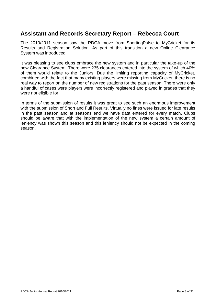# <span id="page-7-0"></span>**Assistant and Records Secretary Report – Rebecca Court**

The 2010/2011 season saw the RDCA move from SportingPulse to MyCricket for its Results and Registration Solution. As part of this transition a new Online Clearance System was introduced.

It was pleasing to see clubs embrace the new system and in particular the take-up of the new Clearance System. There were 235 clearances entered into the system of which 40% of them would relate to the Juniors. Due the limiting reporting capacity of MyCricket, combined with the fact that many existing players were missing from MyCricket, there is no real way to report on the number of new registrations for the past season. There were only a handful of cases were players were incorrectly registered and played in grades that they were not eligible for.

In terms of the submission of results it was great to see such an enormous improvement with the submission of Short and Full Results. Virtually no fines were issued for late results in the past season and at seasons end we have data entered for every match. Clubs should be aware that with the implementation of the new system a certain amount of leniency was shown this season and this leniency should not be expected in the coming season.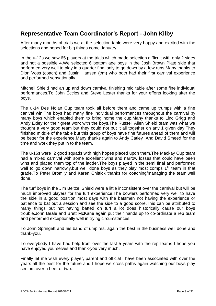# <span id="page-8-0"></span>**Representative Team Coordinator's Report - John Kilby**

After many months of trials we at the selection table were very happy and excited with the selections and hoped for big things come January.

In the u-12s we saw 65 players at the trials which made selection difficult with only 2 sides and not a possible 4.We selected 6 bottom age boys in the Josh Brown Plate side that performed very well to play in a quarter final only to go down by a few runs.Many thanks to Dion Voss (coach) and Justin Hansen (t/m) who both had their first carnival experience and performed sensationally.

Mitchell Shield had an up and down carnival finishing mid table after some fine individual performances.To John Eccles and Steve Lester thanks for your efforts looking after the boys.

The u-14 Des Nolan Cup team took all before them and came up trumps with a fine canival win.The boys had many fine individual performances throughout the carnival by many boys which enabled them to bring home the cup.Many thanks to Linc Grigg and Andy Exley for their great work with the boys.The Russell Allen Shield team was what we thought a very good team but they could not put it all together on any 1 given day.They finished middle of the table but this group of boys have fine futures ahead of them and will be better for the experience.Many thanks again to Andy Catley And David Smeed for the time and work they put in to the team.

The u-16s were 2 good squads with high hopes placed upon them.The Mackay Cup team had a mixed carnival with some excellent wins and narrow losses that could have been wins and placed them top of the ladder.The boys played in the semi final and performed well to go down narrowly, but well done boys as they play most comps  $1<sup>st</sup>$  team in that grade.To Peter Bromily and Karen Chittick thanks for coaching/managing the team,well done.

The turf boys in the Jim Beitzel Shield were a little inconsistent over the carnival but will be much improved players for the turf experience.The bowlers performed very well to have the side in a good position most days with the batsmen not having the experience or patience to bat out a session and see the side to a good score.This can be attributed to many things but not having batted on turf a lot does historically cause our boys trouble.John Beale and Brett McKane again put their hands up to co-ordinate a rep team and performed exceptionally well in trying circumstances.

To John Springett and his band of umpires, again the best in the business well done and thank-you.

To everybody I have had help from over the last 5 years with the rep teams I hope you have enjoyed yourselves and thank-you very much.

Finally let me wish every player, parent and official I have been associated with over the years all the best for the future and I hope we cross paths again watching our boys play seniors over a beer or two.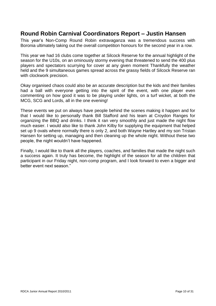# <span id="page-9-0"></span>**Round Robin Carnival Coordinators Report – Justin Hansen**

This year's Non-Comp Round Robin extravaganza was a tremendous success with Boronia ultimately taking out the overall competition honours for the second year in a row.

This year we had 16 clubs come together at Silcock Reserve for the annual highlight of the season for the U10s, on an ominously stormy evening that threatened to send the 400 plus players and spectators scurrying for cover at any given moment Thankfully the weather held and the 9 simultaneous games spread across the grassy fields of Silcock Reserve ran with clockwork precision.

Okay organised chaos could also be an accurate description but the kids and their families had a ball with evervone getting into the spirit of the event, with one player even commenting on how good it was to be playing under lights, on a turf wicket, at both the MCG, SCG and Lords, all in the one evening!

These events we put on always have people behind the scenes making it happen and for that I would like to personally thank Bill Stafford and his team at Croydon Ranges for organizing the BBQ and drinks. I think it ran very smoothly and just made the night flow much easier. I would also like to thank John Kilby for supplying the equipment that helped set up 9 ovals where normally there is only 2, and both Wayne Hartley and my son Tristan Hansen for setting up, managing and then cleaning up the whole night. Without these two people, the night wouldn't have happened.

Finally, I would like to thank all the players, coaches, and families that made the night such a success again. It truly has become, the highlight of the season for all the children that participant in our Friday night, non-comp program, and I look forward to even a bigger and better event next season."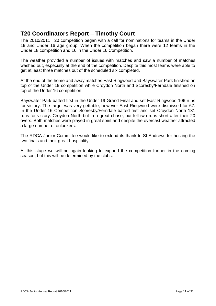# <span id="page-10-0"></span>**T20 Coordinators Report – Timothy Court**

The 2010/2011 T20 competition began with a call for nominations for teams in the Under 19 and Under 16 age group. When the competition began there were 12 teams in the Under 18 competition and 16 in the Under 16 Competition.

The weather provided a number of issues with matches and saw a number of matches washed out, especially at the end of the competition. Despite this most teams were able to get at least three matches out of the scheduled six completed.

At the end of the home and away matches East Ringwood and Bayswater Park finished on top of the Under 19 competition while Croydon North and Scoresby/Ferndale finished on top of the Under 16 competition.

Bayswater Park batted first in the Under 19 Grand Final and set East Ringwood 106 runs for victory. The target was very gettable, however East Ringwood were dismissed for 67. In the Under 16 Competition Scoresby/Ferndale batted first and set Croydon North 131 runs for victory. Croydon North but in a great chase, but fell two runs short after their 20 overs. Both matches were played in great spirit and despite the overcast weather attracted a large number of onlookers.

The RDCA Junior Committee would like to extend its thank to St Andrews for hosting the two finals and their great hospitality.

At this stage we will be again looking to expand the competition further in the coming season, but this will be determined by the clubs.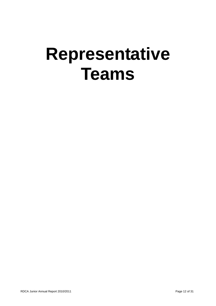# <span id="page-11-0"></span>**Representative Teams**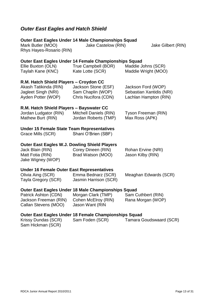# <span id="page-12-0"></span>*Outer East Eagles and Hatch Shield*

| Mark Butler (MOO)<br>Rhys Hayes-Rosario (RIN)                                                                     | Outer East Eagles Under 14 Male Championships Squad<br>Jake Castelow (RIN)                                          | Jake Gilbert (RIN)                                                      |
|-------------------------------------------------------------------------------------------------------------------|---------------------------------------------------------------------------------------------------------------------|-------------------------------------------------------------------------|
| Ellie Buxton (OLN)<br>Taylah Kane (KNC)                                                                           | Outer East Eagles Under 14 Female Championships Squad<br>True Campbell (BOR)<br>Kate Lotte (SCR)                    | Maddie Johns (SCR)<br>Maddie Wright (MOO)                               |
| R.M. Hatch Shield Players - Croydon CC<br>Akash Tatikinda (RIN)<br>Jagleet Singh (NRI)<br>Ayden Potter (WOP)      | Jackson Stone (ESF)<br>Sam Chaplin (WOP)<br>Chris Nucifora (CDN)                                                    | Jackson Ford (WOP)<br>Sebastian Xantidis (NRI)<br>Lachlan Hampton (RIN) |
| R.M. Hatch Shield Players - Bayswater CC<br>Jordan Ludgator (RIN)<br>Mathew Burt (RIN)                            | <b>Mitchell Daniels (RIN)</b><br>Jordan Roberts (TMP)                                                               | Tyson Freeman (RIN)<br>Max Ross (APK)                                   |
| <b>Under 15 Female State Team Representatives</b><br>Grace Mills (SCR)                                            | Shani O'Brien (SBF)                                                                                                 |                                                                         |
| <b>Outer East Eagles W.J. Dowling Shield Players</b><br>Jack Blain (RIN)<br>Matt Fotia (RIN)<br>Jake Wigney (WOP) | Corey Dineen (RIN)<br>Brad Watson (MOO)                                                                             | Rohan Ervine (NRI)<br>Jason Kilby (RIN)                                 |
| <b>Under 16 Female Outer East Representatives</b><br>Olivia Aing (SCR)<br>Tayla Gregory (SCR)                     | Emma Bednarz (SCR)<br>Jasmin Harrison (SCR)                                                                         | Meaghan Edwards (SCR)                                                   |
| Patrick Ashton (CDN)<br>Jackson Freeman (RIN)<br>Callan Stevens (MOO)                                             | Outer East Eagles Under 18 Male Championships Squad<br>Morgan Clark (TMP)<br>Cohen McElroy (RIN)<br>Jason Want (RIN | Sam Cuthbert (RIN)<br>Rana Morgan (WOP)                                 |
|                                                                                                                   | Outer East Eagles Under 18 Female Championships Squad                                                               |                                                                         |

Krissy Dundas (SCR) Sam Foden (SCR) Tamara Goudswaard (SCR) Sam Hickman (SCR)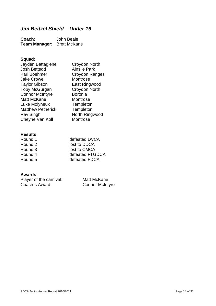#### <span id="page-13-0"></span>*Jim Beitzel Shield – Under 16*

**Coach:** John Beale **Team Manager:** Brett McKane

#### **Squad:**

| Jayden Battaglene        | Croydon North       |
|--------------------------|---------------------|
| <b>Josh Bettedd</b>      | <b>Ainslie Park</b> |
| Karl Boehmer             | Croydon Ranges      |
| <b>Jake Crowe</b>        | Montrose            |
| <b>Taylor Gibson</b>     | East Ringwood       |
| <b>Toby McGurgan</b>     | Croydon North       |
| <b>Connor McIntyre</b>   | <b>Boronia</b>      |
| Matt McKane              | Montrose            |
| Luke Molyneux            | Templeton           |
| <b>Matthew Petherick</b> | Templeton           |
| Rav Singh                | North Ringwood      |
| Cheyne Van Koll          | Montrose            |
|                          |                     |

#### **Results:**

| Round 1 | defeated DVCA   |
|---------|-----------------|
| Round 2 | lost to DDCA    |
| Round 3 | lost to CMCA    |
| Round 4 | defeated FTGDCA |
| Round 5 | defeated FDCA   |

| Player of the carnival: | Matt McKane            |
|-------------------------|------------------------|
| Coach's Award:          | <b>Connor McIntyre</b> |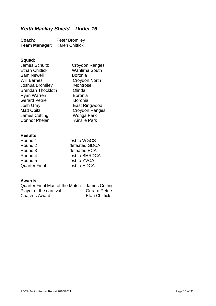# <span id="page-14-0"></span>*Keith Mackay Shield – Under 16*

| Coach:               | <b>Peter Bromiley</b> |
|----------------------|-----------------------|
| <b>Team Manager:</b> | <b>Karen Chittick</b> |

## **Squad:**

| <b>James Schultz</b>     | Croydon Ranges        |
|--------------------------|-----------------------|
| <b>Ethan Chittick</b>    | <b>Wantirna South</b> |
| <b>Sam Newell</b>        | <b>Boronia</b>        |
| <b>Will Barnes</b>       | Croydon North         |
| Joshua Bromiley          | Montrose              |
| <b>Brendan Thockloth</b> | Olinda                |
| <b>Ryan Warren</b>       | <b>Boronia</b>        |
| <b>Gerard Petrie</b>     | <b>Boronia</b>        |
| <b>Josh Gray</b>         | East Ringwood         |
| <b>Matt Opitz</b>        | Croydon Ranges        |
| <b>James Cutting</b>     | Wonga Park            |
| <b>Connor Phelan</b>     | <b>Ainslie Park</b>   |
|                          |                       |

#### **Results:**

| Round 1              | lost to WGCS   |
|----------------------|----------------|
| Round 2              | defeated GDCA  |
| Round 3              | defeated ECA   |
| Round 4              | lost to BHRDCA |
| Round 5              | lost to YVCA   |
| <b>Quarter Final</b> | lost to HDCA   |

| Quarter Final Man of the Match: James Cutting |                      |
|-----------------------------------------------|----------------------|
| Player of the carnival:                       | <b>Gerard Petrie</b> |
| Coach's Award:                                | <b>Etan Chittick</b> |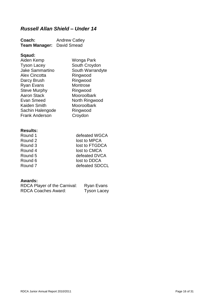# <span id="page-15-0"></span>*Russell Allan Shield – Under 14*

| Coach:               | <b>Andrew Catley</b> |
|----------------------|----------------------|
| <b>Team Manager:</b> | David Smead          |

## **Sqaud:**

| Aiden Kemp             | Wonga Park       |
|------------------------|------------------|
| <b>Tyson Lacey</b>     | South Croydon    |
| <b>Jake Sammartino</b> | South Warrandyte |
| <b>Alex Cincotta</b>   | Ringwood         |
| Darcy Brush            | Ringwood         |
| <b>Ryan Evans</b>      | Montrose         |
| <b>Steve Murphy</b>    | Ringwood         |
| <b>Aaron Stack</b>     | Mooroolbark      |
| Evan Smeed             | North Ringwood   |
| Kaiden Smith           | Mooroolbark      |
| Sachin Halengode       | Ringwood         |
| <b>Frank Anderson</b>  | Croydon          |
|                        |                  |

#### **Results:**

| Round 1 | defeated WGCA  |
|---------|----------------|
| Round 2 | lost to MPCA   |
| Round 3 | lost to FTGDCA |
| Round 4 | lost to CMCA   |
| Round 5 | defeated DVCA  |
| Round 6 | lost to DDCA   |
| Round 7 | defeated SDCCL |
|         |                |

| RDCA Player of the Carnival: | Ryan Evans         |
|------------------------------|--------------------|
| <b>RDCA Coaches Award:</b>   | <b>Tyson Lacey</b> |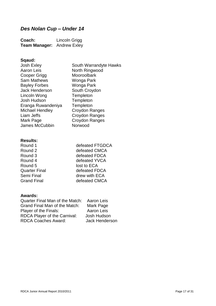# <span id="page-16-0"></span>*Des Nolan Cup – Under 14*

| Coach:                            | Lincoln Grigg |
|-----------------------------------|---------------|
| <b>Team Manager:</b> Andrew Exley |               |

# **Sqaud:**

| Josh Exley             | South Warrandyte Hawks |
|------------------------|------------------------|
| <b>Aaron Leis</b>      | North Ringwood         |
| Cooper Grigg           | Mooroolbark            |
| <b>Sam Mathews</b>     | Wonga Park             |
| <b>Bayley Forbes</b>   | Wonga Park             |
| <b>Jack Henderson</b>  | South Croydon          |
| Lincoln Wong           | Templeton              |
| Josh Hudson            | Templeton              |
| Eranga Ruwandeniya     | Templeton              |
| <b>Michael Hendley</b> | <b>Croydon Ranges</b>  |
| Liam Jeffs             | Croydon Ranges         |
| Mark Page              | Croydon Ranges         |
| James McCubbin         | Norwood                |
|                        |                        |

#### **Results:**

| Round 1       | defeated FTGDCA |
|---------------|-----------------|
| Round 2       | defeated CMCA   |
| Round 3       | defeated FDCA   |
| Round 4       | defeated YVCA   |
| Round 5       | lost to ECA     |
| Quarter Final | defeated FDCA   |
| Semi Final    | drew with ECA   |
| Grand Final   | defeated CMCA   |
|               |                 |

| Quarter Final Man of the Match: | Aaron Leis            |
|---------------------------------|-----------------------|
| Grand Final Man of the Match:   | Mark Page             |
| Player of the Finals:           | Aaron Leis            |
| RDCA Player of the Carnival:    | Josh Hudson           |
| <b>RDCA Coaches Award:</b>      | <b>Jack Henderson</b> |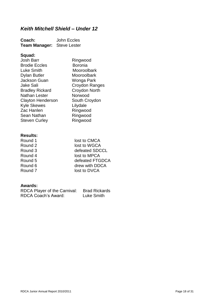# <span id="page-17-0"></span>*Keith Mitchell Shield – Under 12*

| Coach:                            | John Eccles |
|-----------------------------------|-------------|
| <b>Team Manager:</b> Steve Lester |             |

## **Squad:**

| <b>Josh Barr</b>         | Ringwood       |
|--------------------------|----------------|
| <b>Brodie Eccles</b>     | <b>Boronia</b> |
| <b>Luke Smith</b>        | Mooroolbark    |
| <b>Dylan Butler</b>      | Mooroolbark    |
| <b>Jackson Guan</b>      | Wonga Park     |
| Jake Sali                | Croydon Ranges |
| <b>Bradley Rickard</b>   | Croydon North  |
| Nathan Lester            | Norwood        |
| <b>Clayton Henderson</b> | South Croydon  |
| <b>Kyle Skewes</b>       | Lilydale       |
| Zac Hanlen               | Ringwood       |
| Sean Nathan              | Ringwood       |
| <b>Steven Curley</b>     | Ringwood       |
|                          |                |
|                          |                |

#### **Results:**

| Round 1 | lost to CMCA    |
|---------|-----------------|
| Round 2 | lost to WGCA    |
| Round 3 | defeated SDCCL  |
| Round 4 | lost to MPCA    |
| Round 5 | defeated FTGDCA |
| Round 6 | drew with DDCA  |
| Round 7 | lost to DVCA    |
|         |                 |

| RDCA Player of the Carnival: | <b>Brad Rickards</b> |
|------------------------------|----------------------|
| <b>RDCA Coach's Award:</b>   | Luke Smith           |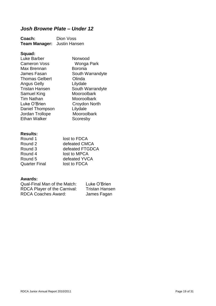# <span id="page-18-0"></span>*Josh Browne Plate – Under 12*

**Coach:** Dion Voss **Team Manager:** Justin Hansen

#### **Squad:**

| Norwood          |
|------------------|
| Wonga Park       |
| <b>Boronia</b>   |
| South Warrandyte |
| Olinda           |
| Lilydale         |
| South Warrandyte |
| Mooroolbark      |
| Mooroolbark      |
| Croydon North    |
| Lilydale         |
| Mooroolbark      |
| Scoresby         |
|                  |

#### **Results:**

| Round 1              | lost to FDCA    |
|----------------------|-----------------|
| Round 2              | defeated CMCA   |
| Round 3              | defeated FTGDCA |
| Round 4              | lost to MPCA    |
| Round 5              | defeated YVCA   |
| <b>Quarter Final</b> | lost to FDCA    |

| Qual-Final Man of the Match: | Luke O'Brien          |
|------------------------------|-----------------------|
| RDCA Player of the Carnival: | <b>Tristan Hansen</b> |
| <b>RDCA Coaches Award:</b>   | James Fagan           |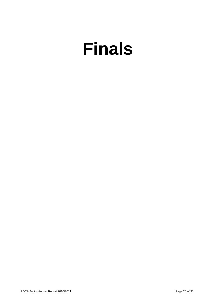# <span id="page-19-0"></span>**Finals**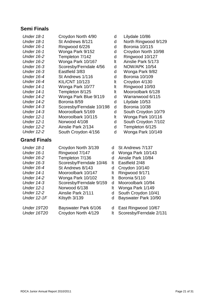#### **Semi Finals**

| <b>Under 18-1</b>   | Croydon North 4/90       | d  | Lilydale 10/86       |
|---------------------|--------------------------|----|----------------------|
| <b>Under 18-1</b>   | St Andrews 8/121         | d  | North Ringwood 9/129 |
| <b>Under 16-1</b>   | Ringwood 6/226           | d  | Boronia 10/115       |
| <b>Under 16-1</b>   | Wonga Park 9/152         | d  | Croydon North 10/98  |
| <b>Under 16-2</b>   | Templeton 7/142          | d  | Ringwood 10/127      |
| <b>Under 16-2</b>   | Wonga Park 10/167        | It | Ainslie Park 5/173   |
| <b>Under 16-3</b>   | Scoresby/Ferndale 4/56   | d  | <b>NOW/APK 10/54</b> |
| <b>Under 16-3</b>   | Eastfield 3/83           | d  | Wonga Park 9/82      |
| Under 16-4          | St Andrews 1/116         | d  | Boronia 10/109       |
| Under 16-4          | <b>KIL/CNT 10/123</b>    | It | Croydon 4/130        |
| <b>Under 14-1</b>   | Wonga Park 10/77         | It | Ringwood 10/93       |
| <b>Under 14-1</b>   | Templeton 8/125          | It | Mooroolbark 6/128    |
| <b>Under 14-2</b>   | Wonga Park Blue 9/119    | d  | Warranwood 6/115     |
| <b>Under 14-2</b>   | Boronia 8/59             | d  | Lilydale 10/53       |
| <b>Under 14-3</b>   | Scoresby/Ferndale 10/198 | d  | Boronia 10/38        |
| <b>Under 14-3</b>   | Mooroolbark 5/169        | d  | South Croydon 10/79  |
| <b>Under 12-1</b>   | Mooroolbark 10/115       | It | Wonga Park 10/116    |
| <b>Under 12-1</b>   | Norwood 4/108            | d  | South Croydon 7/102  |
| <b>Under 12-2</b>   | Ainslie Park 2/134       | d  | Templeton 6/125      |
| <b>Under 12-2</b>   | South Croydon 4/156      | d  | Wonga Park 10/149    |
| <b>Grand Finals</b> |                          |    |                      |

| Under 18-1         | Croydon North 3/139     |     | d St Andrews //13/      |
|--------------------|-------------------------|-----|-------------------------|
| <b>Under 16-1</b>  | Ringwood 7/147          | d   | Wonga Park 10/143       |
| <b>Under 16-2</b>  | Templeton 7/136         | d   | Ainslie Park 10/84      |
| <b>Under 16-3</b>  | Scoresby/Ferndale 10/46 | lt. | Eastfield 2/48          |
| <b>Under 16-4</b>  | St Andrews 8/143        | d   | Croydon 10/140          |
| <b>Under 14-1</b>  | Mooroolbark 10/147      | It  | Ringwood 9/171          |
| <b>Under 14-2</b>  | Wonga Park 10/102       | lt. | Boronia 5/110           |
| <b>Under 14-3</b>  | Scoresby/Ferndale 9/159 | d   | Mooroolbark 10/94       |
| <b>Under 12-1</b>  | Norwood 6/138           | It  | Wonga Park 1/149        |
| <b>Under 12-2</b>  | Ainslie Park 2/111      | d   | South Croydon 10/41     |
| Under 12-1F        | Kilsyth 3/139           | d   | Bayswater Park 10/90    |
| <b>Under 19T20</b> | Bayswater Park 6/106    | d   | East Ringwood 10/67     |
| <b>Under 16T20</b> | Croydon North 4/129     | It  | Scoresby/Ferndale 2/131 |

- oydon North 10/98 ngwood 10/127 nslie Park 5/173 **DW/APK 10/54** onga Park 9/82 *I*ronia 10/109 0ydon 4/130 *Under 14-1* Wonga Park 10/77 lt Ringwood 10/93 00roolbark 6/128 *Under 14-2* Wonga Park Blue 9/119 d Warranwood 6/115 vdale 10/53 *Pronia 10/38* Juth Croydon 10/79 onga Park 10/116 **uth Croydon 7/102** mpleton 6/125 onga Park 10/149 *Under 18-1* Croydon North 3/139 d St Andrews 7/137 d Wonga Park 10/143 d Ainslie Park 10/84 It Eastfield 2/48 d Croydon 10/140 It Ringwood 9/171 It Boronia 5/110 d Mooroolbark 10/94 It Wonga Park 1/149 d South Croydon 10/41 d Bayswater Park 10/90
	- d East Ringwood 10/67
	-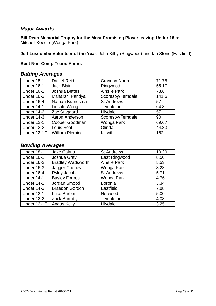#### <span id="page-22-0"></span>*Major Awards*

**Bill Dean Memorial Trophy for the Most Promising Player leaving Under 16's:** Mitchell Keedle (Wonga Park)

**Jeff Luscombe Volunteer of the Year**: John Kilby (Ringwood) and Ian Stone (Eastfield)

#### **Best Non-Comp Team:** Boronia

#### <span id="page-22-1"></span>*Batting Averages*

| Under 18-1        | Daniel Reid            | <b>Croydon North</b> | 71.75 |
|-------------------|------------------------|----------------------|-------|
| Under 16-1        | Jack Blain             | Ringwood             | 55.17 |
| Under 16-2        | <b>Joshua Bettes</b>   | <b>Ainslie Park</b>  | 73.6  |
| <b>Under 16-3</b> | Maharshi Pandya        | Scoresby/Ferndale    | 141.5 |
| Under 16-4        | Nathan Brandsma        | <b>St Andrews</b>    | 57    |
| <b>Under 14-1</b> | Lincoln Wong           | Templeton            | 64.8  |
| Under 14-2        | Zac Staggard           | Lilydale             | 57    |
| <b>Under 14-3</b> | Aaron Anderson         | Scoresby/Ferndale    | 90    |
| <b>Under 12-1</b> | Cooper Goodman         | Wonga Park           | 69.67 |
| <b>Under 12-2</b> | Louis Seal             | Olinda               | 44.33 |
| Under 12-1F       | <b>William Pleming</b> | Kilsyth              | 182   |

#### <span id="page-22-2"></span>*Bowling Averages*

| Under 18-1        | <b>Jake Cairns</b>       | <b>St Andrews</b>   | 10.29 |
|-------------------|--------------------------|---------------------|-------|
| <b>Under 16-1</b> | Joshua Gray              | East Ringwood       | 8.50  |
| <b>Under 16-2</b> | <b>Bradley Wadsworth</b> | <b>Ainslie Park</b> | 5.53  |
| <b>Under 16-3</b> | Jagger Cheney            | Wonga Park          | 8.23  |
| Under 16-4        | Ryley Jacob              | <b>St Andrews</b>   | 5.71  |
| <b>Under 14-1</b> | <b>Bayley Forbes</b>     | Wonga Park          | 4.76  |
| <b>Under 14-2</b> | Jordan Smood             | <b>Boronia</b>      | 3.34  |
| Under 14-3        | <b>Braedon Gordon</b>    | Eastfield           | 7.88  |
| <b>Under 12-1</b> | <b>Luke Barber</b>       | Norwood             | 5.00  |
| <b>Under 12-2</b> | Zack Barmby              | Templeton           | 4.08  |
| Under 12-1F       | <b>Angus Kelly</b>       | Lilydale            | 3.25  |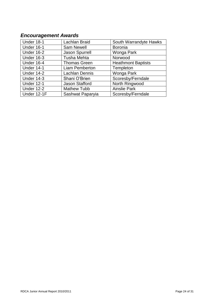# <span id="page-23-0"></span>*Encouragement Awards*

| Under 18-1        | Lachlan Braid         | South Warrandyte Hawks    |
|-------------------|-----------------------|---------------------------|
| Under 16-1        | <b>Sam Newell</b>     | <b>Boronia</b>            |
| <b>Under 16-2</b> | <b>Jason Spurrell</b> | Wonga Park                |
| <b>Under 16-3</b> | <b>Tusha Mehta</b>    | Norwood                   |
| Under 16-4        | <b>Thomas Green</b>   | <b>Heathmont Baptists</b> |
| <b>Under 14-1</b> | Liam Pemberton        | Templeton                 |
| Under 14-2        | <b>Lachlan Dennis</b> | Wonga Park                |
| <b>Under 14-3</b> | Shani O'Brien         | Scoresby/Ferndale         |
| <b>Under 12-1</b> | Jason Stafford        | North Ringwood            |
| <b>Under 12-2</b> | <b>Mathew Tubb</b>    | <b>Ainslie Park</b>       |
| Under 12-1F       | Sashwat Paparyia      | Scoresby/Ferndale         |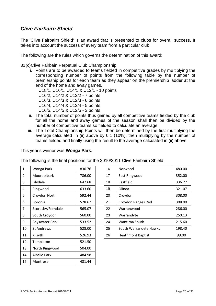#### <span id="page-24-0"></span>*Clive Fairbairn Shield*

The 'Clive Fairbairn Shield' is an award that is presented to clubs for overall success. It takes into account the success of every team from a particular club.

The following are the rules which governs the determination of this award:

31(c)Clive Fairbain Perpetual Club Championship

i. Points are to be awarded to teams fielded in competitive grades by multiplying the corresponding number of points from the following table by the number of premiership points for each team as they appear on the premiership ladder at the end of the home and away games.

U18/1, U16/1, U14/1 & U12/1 - 10 points

U16/2, U14/2 & U12/2 - 7 points

U16/3, U14/3 & U12/3 - 6 points

U16/4, U14/4 & U12/4 - 5 points

U16/5, U14/5 & U12/5 - 3 points

- ii. The total number of points thus gained by all competitive teams fielded by the club for all the home and away games of the season shall then be divided by the number of competitive teams so fielded to calculate an average.
- iii. The Total Championship Points will then be determined by the first multiplying the average calculated in (ii) above by 0.1 (10%), then multiplying by the number of teams fielded and finally using the result to the average calculated in (ii) above.

This year's winner was **Wonga Park**.

The following is the final positions for the 2010/2011 Clive Fairbairn Shield:

| 1  | Wonga Park        | 830.76 |
|----|-------------------|--------|
| 2  | Mooroolbark       | 786.00 |
| 3  | Lilydale          | 647.68 |
| 4  | Ringwood          | 633.60 |
| 5  | Croydon North     | 592.44 |
| 6  | Boronia           | 578.67 |
| 7  | Scoresby/Ferndale | 565.07 |
| 8  | South Croydon     | 560.00 |
| 9  | Bayswater Park    | 533.52 |
| 10 | <b>St Andrews</b> | 528.00 |
| 11 | Kilsyth           | 526.93 |
| 12 | Templeton         | 521.50 |
| 13 | North Ringwood    | 504.00 |
| 14 | Ainslie Park      | 484.98 |
| 15 | Montrose          | 481.44 |

| 1              | Wonga Park            | 830.76 | 16 | Norwood                  | 480.00 |
|----------------|-----------------------|--------|----|--------------------------|--------|
| $\overline{2}$ | Mooroolbark           | 786.00 | 17 | East Ringwood            | 352.00 |
| 3              | Lilydale              | 647.68 | 18 | Eastfield                | 336.27 |
| 4              | Ringwood              | 633.60 | 19 | Olinda                   | 321.07 |
| 5              | Croydon North         | 592.44 | 20 | Croydon                  | 308.00 |
| 6              | <b>Boronia</b>        | 578.67 | 21 | Croydon Ranges Red       | 308.00 |
| 7              | Scoresby/Ferndale     | 565.07 | 22 | Warranwood               | 286.00 |
| 8              | South Croydon         | 560.00 | 23 | Warrandyte               | 250.13 |
| 9              | <b>Bayswater Park</b> | 533.52 | 24 | Wantirna South           | 215.60 |
| 10             | <b>St Andrews</b>     | 528.00 | 25 | South Warrandyte Hawks   | 198.40 |
| 11             | Kilsyth               | 526.93 | 26 | <b>Heathmont Baptist</b> | 99.00  |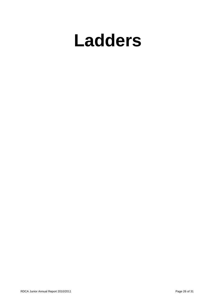# <span id="page-25-0"></span>**Ladders**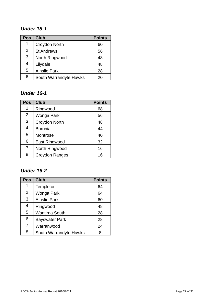#### <span id="page-26-0"></span>*Under 18-1*

| <b>Pos</b> | <b>Club</b>            | <b>Points</b> |
|------------|------------------------|---------------|
| 1          | Croydon North          | 60            |
| 2          | <b>St Andrews</b>      | 56            |
| 3          | North Ringwood         | 48            |
| 4          | Lilydale               | 48            |
| 5          | <b>Ainslie Park</b>    | 28            |
| 6          | South Warrandyte Hawks | ას            |

#### <span id="page-26-1"></span>*Under 16-1*

| <b>Pos</b>     | <b>Club</b>           | <b>Points</b> |
|----------------|-----------------------|---------------|
| 1              | Ringwood              | 68            |
| 2              | Wonga Park            | 56            |
| $\mathbf{3}$   | Croydon North         | 48            |
| $\overline{4}$ | <b>Boronia</b>        | 44            |
| 5              | Montrose              | 40            |
| 6              | East Ringwood         | 32            |
| 7              | North Ringwood        | 16            |
| 8              | <b>Croydon Ranges</b> | 16            |

# <span id="page-26-2"></span>*Under 16-2*

| <b>Pos</b>     | <b>Club</b>            | <b>Points</b> |
|----------------|------------------------|---------------|
| 1              | Templeton              | 64            |
| 2              | Wonga Park             | 64            |
| 3              | <b>Ainslie Park</b>    | 60            |
| $\overline{4}$ | Ringwood               | 48            |
| 5              | Wantirna South         | 28            |
| 6              | Bayswater Park         | 28            |
| $\overline{7}$ | Warranwood             | 24            |
| 8              | South Warrandyte Hawks | 8             |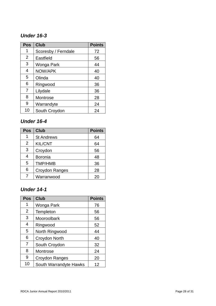#### <span id="page-27-0"></span>*Under 16 - 3*

| <b>Pos</b> | <b>Club</b>         | <b>Points</b> |
|------------|---------------------|---------------|
| 1          | Scoresby / Ferndale | 72            |
| 2          | Eastfield           | 56            |
| 3          | Wonga Park          | 44            |
| 4          | NOW/APK             | 40            |
| 5          | Olinda              | 40            |
| 6          | Ringwood            | 36            |
| 7          | Lilydale            | 36            |
| 8          | Montrose            | 28            |
| 9          | Warrandyte          | 24            |
| 10         | South Croydon       | 24            |

#### <span id="page-27-1"></span>*Under 1 6 - 4*

| <b>Pos</b> | <b>Club</b>       | <b>Points</b> |
|------------|-------------------|---------------|
| 1          | <b>St Andrews</b> | 64            |
| 2          | <b>KIL/CNT</b>    | 64            |
| 3          | Croydon           | 56            |
| 4          | <b>Boronia</b>    | 48            |
| 5          | <b>TMP/HMB</b>    | 36            |
| 6          | Croydon Ranges    | 28            |
|            | Warranwood        | 20            |

#### <span id="page-27-2"></span>*Under 1 4 - 1*

| <b>Pos</b>     | <b>Club</b>            | <b>Points</b> |
|----------------|------------------------|---------------|
| 1              | Wonga Park             | 76            |
| 2              | Templeton              | 56            |
| 3              | Mooroolbark            | 56            |
| 4              | Ringwood               | 52            |
| 5              | North Ringwood         | 44            |
| 6              | Croydon North          | 40            |
| $\overline{7}$ | South Croydon          | 32            |
| 8              | Montrose               | 24            |
| 9              | Croydon Ranges         | 20            |
| 10             | South Warrandyte Hawks | 12            |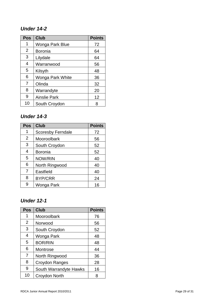#### <span id="page-28-0"></span>*Under 1 4 -2*

| <b>Pos</b>     | <b>Club</b>         | <b>Points</b> |
|----------------|---------------------|---------------|
| 1              | Wonga Park Blue     | 72            |
| $\overline{2}$ | <b>Boronia</b>      | 64            |
| 3              | Lilydale            | 64            |
| 4              | Warranwood          | 56            |
| 5              | Kilsyth             | 48            |
| 6              | Wonga Park White    | 36            |
| 7              | Olinda              | 32            |
| 8              | Warrandyte          | 20            |
| 9              | <b>Ainslie Park</b> | 12            |
| 10             | South Croydon       | 8             |

#### <span id="page-28-1"></span>*Under 14 - 3*

| <b>Pos</b> | <b>Club</b>              | <b>Points</b> |
|------------|--------------------------|---------------|
| 1          | <b>Scoresby Ferndale</b> | 72            |
| 2          | Mooroolbark              | 56            |
| 3          | South Croydon            | 52            |
| 4          | <b>Boronia</b>           | 52            |
| 5          | NOW/RIN                  | 40            |
| 6          | North Ringwood           | 40            |
| 7          | Eastfield                | 40            |
| 8          | <b>BYP/CRR</b>           | 24            |
| 9          | Wonga Park               | 16            |

#### <span id="page-28-2"></span>*Under 12 - 1*

| <b>Pos</b>     | <b>Club</b>            | <b>Points</b> |
|----------------|------------------------|---------------|
| 1              | Mooroolbark            | 76            |
| 2              | Norwood                | 56            |
| 3              | South Croydon          | 52            |
| 4              | Wonga Park             | 48            |
| 5              | <b>BOR/RIN</b>         | 48            |
| 6              | Montrose               | 44            |
| $\overline{7}$ | North Ringwood         | 36            |
| 8              | Croydon Ranges         | 28            |
| 9              | South Warrandyte Hawks | 16            |
| 10             | Croydon North          | 8             |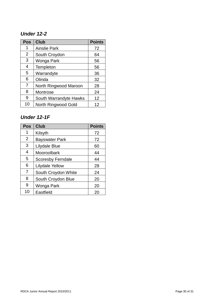### <span id="page-29-0"></span>*Under 12-2*

| <b>Pos</b>     | <b>Club</b>            | <b>Points</b> |
|----------------|------------------------|---------------|
| 1              | <b>Ainslie Park</b>    | 72            |
| 2              | South Croydon          | 64            |
| 3              | Wonga Park             | 56            |
| 4              | Templeton              | 56            |
| 5              | Warrandyte             | 36            |
| 6              | Olinda                 | 32            |
| $\overline{7}$ | North Ringwood Maroon  | 28            |
| 8              | Montrose               | 24            |
| 9              | South Warrandyte Hawks | 12            |
| 10             | North Ringwood Gold    | 12            |

#### <span id="page-29-1"></span>*Under 12-1F*

| Pos | <b>Club</b>              | <b>Points</b> |
|-----|--------------------------|---------------|
| 1   | Kilsyth                  | 72            |
| 2   | <b>Bayswater Park</b>    | 72            |
| 3   | Lilydale Blue            | 60            |
| 4   | Mooroolbark              | 44            |
| 5   | <b>Scoresby Ferndale</b> | 44            |
| 6   | <b>Lilydale Yellow</b>   | 28            |
| 7   | South Croydon White      | 24            |
| 8   | South Croydon Blue       | 20            |
| 9   | Wonga Park               | 20            |
| 10  | Eastfield                | 20            |